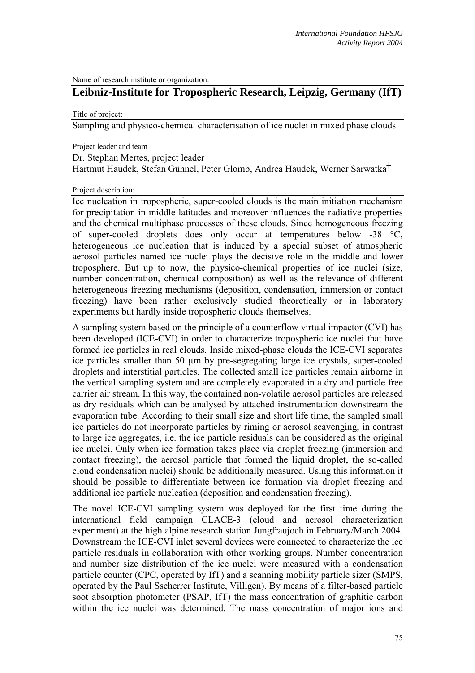Name of research institute or organization:

# **Leibniz-Institute for Tropospheric Research, Leipzig, Germany (IfT)**

Title of project:

Sampling and physico-chemical characterisation of ice nuclei in mixed phase clouds

Project leader and team

Dr. Stephan Mertes, project leader Hartmut Haudek, Stefan Günnel, Peter Glomb, Andrea Haudek, Werner Sarwatka┼

#### Project description:

Ice nucleation in tropospheric, super-cooled clouds is the main initiation mechanism for precipitation in middle latitudes and moreover influences the radiative properties and the chemical multiphase processes of these clouds. Since homogeneous freezing of super-cooled droplets does only occur at temperatures below -38 °C, heterogeneous ice nucleation that is induced by a special subset of atmospheric aerosol particles named ice nuclei plays the decisive role in the middle and lower troposphere. But up to now, the physico-chemical properties of ice nuclei (size, number concentration, chemical composition) as well as the relevance of different heterogeneous freezing mechanisms (deposition, condensation, immersion or contact freezing) have been rather exclusively studied theoretically or in laboratory experiments but hardly inside tropospheric clouds themselves.

A sampling system based on the principle of a counterflow virtual impactor (CVI) has been developed (ICE-CVI) in order to characterize tropospheric ice nuclei that have formed ice particles in real clouds. Inside mixed-phase clouds the ICE-CVI separates ice particles smaller than 50 µm by pre-segregating large ice crystals, super-cooled droplets and interstitial particles. The collected small ice particles remain airborne in the vertical sampling system and are completely evaporated in a dry and particle free carrier air stream. In this way, the contained non-volatile aerosol particles are released as dry residuals which can be analysed by attached instrumentation downstream the evaporation tube. According to their small size and short life time, the sampled small ice particles do not incorporate particles by riming or aerosol scavenging, in contrast to large ice aggregates, i.e. the ice particle residuals can be considered as the original ice nuclei. Only when ice formation takes place via droplet freezing (immersion and contact freezing), the aerosol particle that formed the liquid droplet, the so-called cloud condensation nuclei) should be additionally measured. Using this information it should be possible to differentiate between ice formation via droplet freezing and additional ice particle nucleation (deposition and condensation freezing).

The novel ICE-CVI sampling system was deployed for the first time during the international field campaign CLACE-3 (cloud and aerosol characterization experiment) at the high alpine research station Jungfraujoch in February/March 2004. Downstream the ICE-CVI inlet several devices were connected to characterize the ice particle residuals in collaboration with other working groups. Number concentration and number size distribution of the ice nuclei were measured with a condensation particle counter (CPC, operated by IfT) and a scanning mobility particle sizer (SMPS, operated by the Paul Sscherrer Institute, Villigen). By means of a filter-based particle soot absorption photometer (PSAP, IfT) the mass concentration of graphitic carbon within the ice nuclei was determined. The mass concentration of major ions and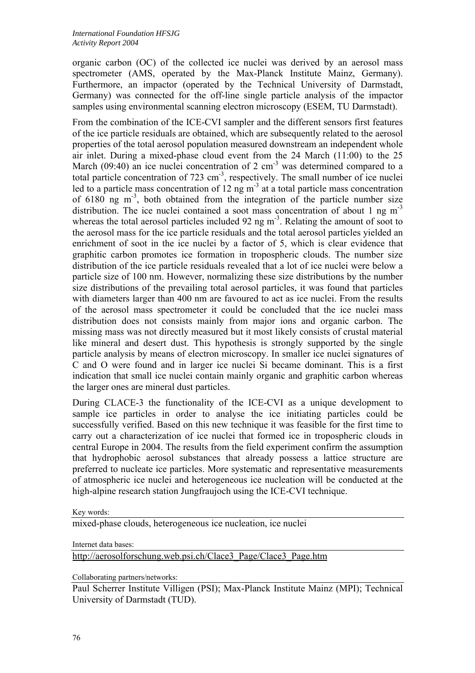organic carbon (OC) of the collected ice nuclei was derived by an aerosol mass spectrometer (AMS, operated by the Max-Planck Institute Mainz, Germany). Furthermore, an impactor (operated by the Technical University of Darmstadt, Germany) was connected for the off-line single particle analysis of the impactor samples using environmental scanning electron microscopy (ESEM, TU Darmstadt).

From the combination of the ICE-CVI sampler and the different sensors first features of the ice particle residuals are obtained, which are subsequently related to the aerosol properties of the total aerosol population measured downstream an independent whole air inlet. During a mixed-phase cloud event from the 24 March (11:00) to the 25 March (09:40) an ice nuclei concentration of 2  $cm<sup>3</sup>$  was determined compared to a total particle concentration of  $723 \text{ cm}^3$ , respectively. The small number of ice nuclei led to a particle mass concentration of  $12 \text{ ng m}^3$  at a total particle mass concentration of  $6180$  ng m<sup>-3</sup>, both obtained from the integration of the particle number size distribution. The ice nuclei contained a soot mass concentration of about 1 ng  $m<sup>-3</sup>$ whereas the total aerosol particles included 92 ng  $m<sup>3</sup>$ . Relating the amount of soot to the aerosol mass for the ice particle residuals and the total aerosol particles yielded an enrichment of soot in the ice nuclei by a factor of 5, which is clear evidence that graphitic carbon promotes ice formation in tropospheric clouds. The number size distribution of the ice particle residuals revealed that a lot of ice nuclei were below a particle size of 100 nm. However, normalizing these size distributions by the number size distributions of the prevailing total aerosol particles, it was found that particles with diameters larger than 400 nm are favoured to act as ice nuclei. From the results of the aerosol mass spectrometer it could be concluded that the ice nuclei mass distribution does not consists mainly from major ions and organic carbon. The missing mass was not directly measured but it most likely consists of crustal material like mineral and desert dust. This hypothesis is strongly supported by the single particle analysis by means of electron microscopy. In smaller ice nuclei signatures of C and O were found and in larger ice nuclei Si became dominant. This is a first indication that small ice nuclei contain mainly organic and graphitic carbon whereas the larger ones are mineral dust particles.

During CLACE-3 the functionality of the ICE-CVI as a unique development to sample ice particles in order to analyse the ice initiating particles could be successfully verified. Based on this new technique it was feasible for the first time to carry out a characterization of ice nuclei that formed ice in tropospheric clouds in central Europe in 2004. The results from the field experiment confirm the assumption that hydrophobic aerosol substances that already possess a lattice structure are preferred to nucleate ice particles. More systematic and representative measurements of atmospheric ice nuclei and heterogeneous ice nucleation will be conducted at the high-alpine research station Jungfraujoch using the ICE-CVI technique.

Key words:

mixed-phase clouds, heterogeneous ice nucleation, ice nuclei

Internet data bases:

[http://aerosolforschung.web.psi.ch/Clace3\\_Page/Clace3\\_Page.htm](http://aerosolforschung.web.psi.ch/Clace3_Page/Clace3_Page.htm)

Collaborating partners/networks:

Paul Scherrer Institute Villigen (PSI); Max-Planck Institute Mainz (MPI); Technical University of Darmstadt (TUD).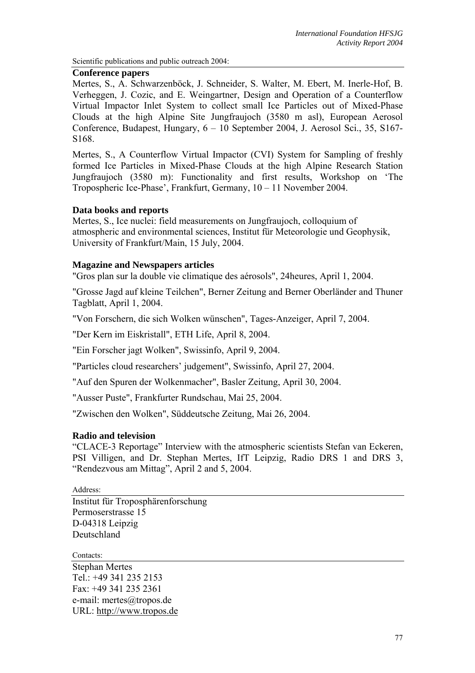Scientific publications and public outreach 2004:

#### **Conference papers**

Mertes, S., A. Schwarzenböck, J. Schneider, S. Walter, M. Ebert, M. Inerle-Hof, B. Verheggen, J. Cozic, and E. Weingartner, Design and Operation of a Counterflow Virtual Impactor Inlet System to collect small Ice Particles out of Mixed-Phase Clouds at the high Alpine Site Jungfraujoch (3580 m asl), European Aerosol Conference, Budapest, Hungary, 6 – 10 September 2004, J. Aerosol Sci., 35, S167- S168.

Mertes, S., A Counterflow Virtual Impactor (CVI) System for Sampling of freshly formed Ice Particles in Mixed-Phase Clouds at the high Alpine Research Station Jungfraujoch (3580 m): Functionality and first results, Workshop on 'The Tropospheric Ice-Phase', Frankfurt, Germany, 10 – 11 November 2004.

### **Data books and reports**

Mertes, S., Ice nuclei: field measurements on Jungfraujoch, colloquium of atmospheric and environmental sciences, Institut für Meteorologie und Geophysik, University of Frankfurt/Main, 15 July, 2004.

## **Magazine and Newspapers articles**

"Gros plan sur la double vie climatique des aérosols", 24heures, April 1, 2004.

"Grosse Jagd auf kleine Teilchen", Berner Zeitung and Berner Oberländer and Thuner Tagblatt, April 1, 2004.

"Von Forschern, die sich Wolken wünschen", Tages-Anzeiger, April 7, 2004.

"Der Kern im Eiskristall", ETH Life, April 8, 2004.

"Ein Forscher jagt Wolken", Swissinfo, April 9, 2004.

"Particles cloud researchers' judgement", Swissinfo, April 27, 2004.

"Auf den Spuren der Wolkenmacher", Basler Zeitung, April 30, 2004.

"Ausser Puste", Frankfurter Rundschau, Mai 25, 2004.

"Zwischen den Wolken", Süddeutsche Zeitung, Mai 26, 2004.

### **Radio and television**

"CLACE-3 Reportage" Interview with the atmospheric scientists Stefan van Eckeren, PSI Villigen, and Dr. Stephan Mertes, IfT Leipzig, Radio DRS 1 and DRS 3, "Rendezvous am Mittag", April 2 and 5, 2004.

Address:

Institut für Troposphärenforschung Permoserstrasse 15 D-04318 Leipzig Deutschland

Contacts:

Stephan Mertes Tel.: +49 341 235 2153 Fax: +49 341 235 2361 e-mail: mertes@tropos.de URL: [http://www.tropos.de](http://www.tropos.de/)